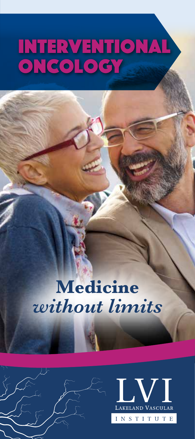# Interventional **ONCOLOGY**

## **Medicine**  *without limits*



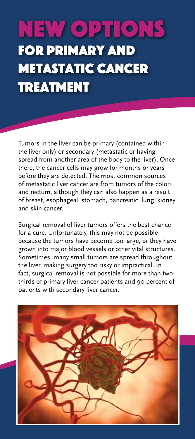## NEW OPTIONS for primary and metastatic cancer treatment

Tumors in the liver can be primary (contained within the liver only) or secondary (metastatic or having spread from another area of the body to the liver). Once there, the cancer cells may grow for months or years before they are detected. The most common sources of metastatic liver cancer are from tumors of the colon and rectum, although they can also happen as a result of breast, esophageal, stomach, pancreatic, lung, kidney and skin cancer.

Surgical removal of liver tumors offers the best chance for a cure. Unfortunately, this may not be possible because the tumors have become too large, or they have grown into major blood vessels or other vital structures. Sometimes, many small tumors are spread throughout the liver, making surgery too risky or impractical. In fact, surgical removal is not possible for more than twothirds of primary liver cancer patients and 90 percent of patients with secondary liver cancer.

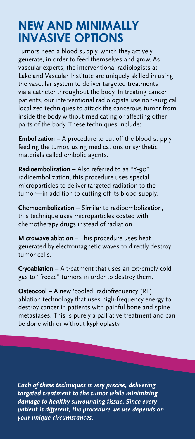#### **NEW AND MINIMALLY INVASIVE OPTIONS**

Tumors need a blood supply, which they actively generate, in order to feed themselves and grow. As vascular experts, the interventional radiologists at Lakeland Vascular Institute are uniquely skilled in using the vascular system to deliver targeted treatments via a catheter throughout the body. In treating cancer patients, our interventional radiologists use non-surgical localized techniques to attack the cancerous tumor from inside the body without medicating or affecting other parts of the body. These techniques include:

**Embolization** – A procedure to cut off the blood supply feeding the tumor, using medications or synthetic materials called embolic agents.

**Radioembolization** – Also referred to as "Y-90" radioembolization, this procedure uses special microparticles to deliver targeted radiation to the tumor—in addition to cutting off its blood supply.

**Chemoembolization** – Similar to radioembolization, this technique uses microparticles coated with chemotherapy drugs instead of radiation.

**Microwave ablation** – This procedure uses heat generated by electromagnetic waves to directly destroy tumor cells.

**Cryoablation** – A treatment that uses an extremely cold gas to "freeze" tumors in order to destroy them.

**Osteocool** – A new 'cooled' radiofrequency (RF) ablation technology that uses high-frequency energy to destroy cancer in patients with painful bone and spine metastases. This is purely a palliative treatment and can be done with or without kyphoplasty.

*Each of these techniques is very precise, delivering targeted treatment to the tumor while minimizing damage to healthy surrounding tissue. Since every patient is different, the procedure we use depends on your unique circumstances.*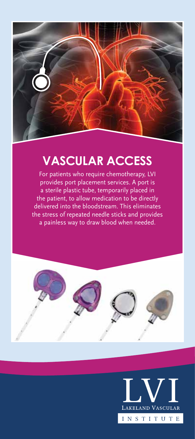

### **VASCULAR ACCESS**

For patients who require chemotherapy, LVI provides port placement services. A port is a sterile plastic tube, temporarily placed in the patient, to allow medication to be directly delivered into the bloodstream. This eliminates the stress of repeated needle sticks and provides a painless way to draw blood when needed.



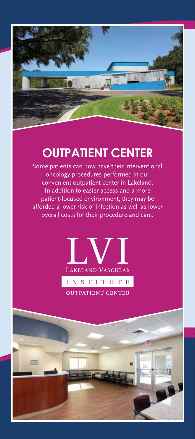

### **OUTPATIENT CENTER**

Some patients can now have their interventional oncology procedures performed in our convenient outpatient center in Lakeland. In addition to easier access and a more patient-focused environment, they may be afforded a lower risk of infection as well as lower overall costs for their procedure and care.



**OUTPATIENT CENTER**